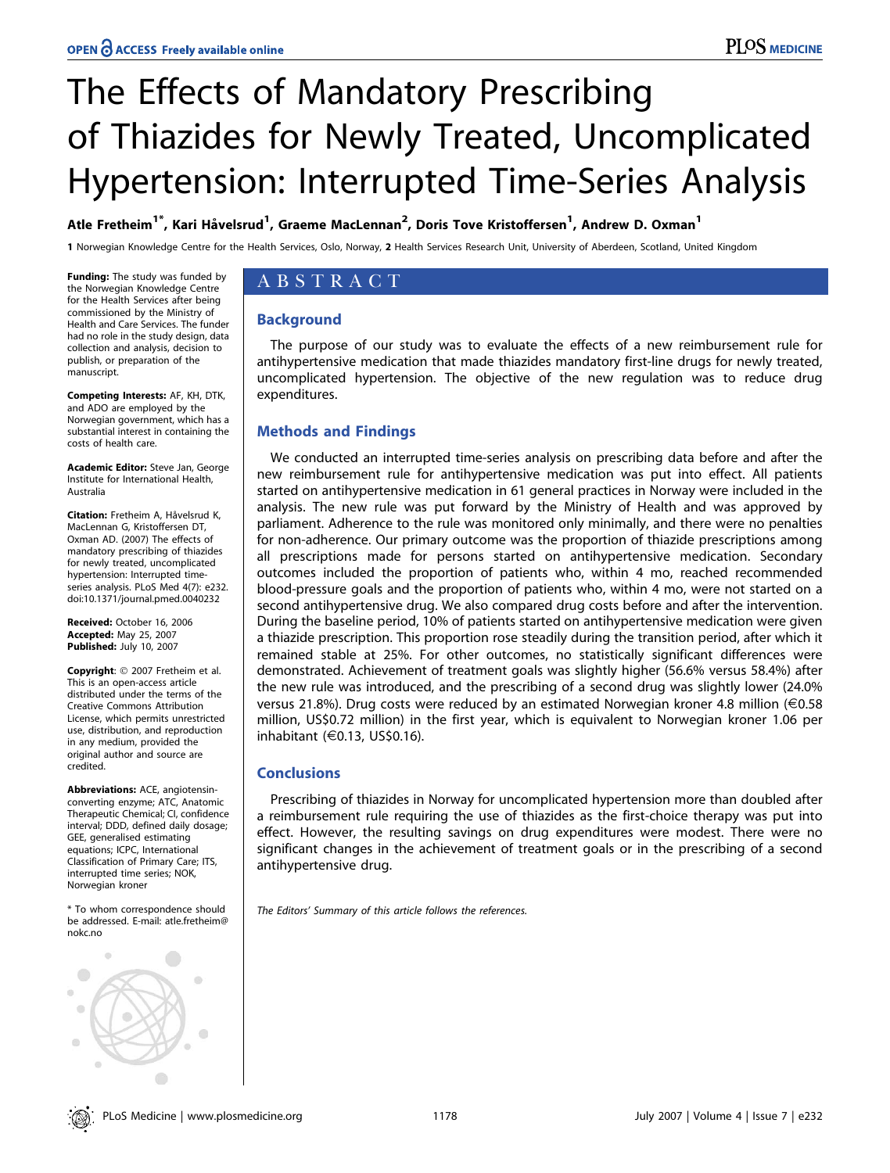# The Effects of Mandatory Prescribing of Thiazides for Newly Treated, Uncomplicated Hypertension: Interrupted Time-Series Analysis

# Atle Fretheim $^{1^\ast}$ , Kari Håvelsrud $^1$ , Graeme MacLennan $^2$ , Doris Tove Kristoffersen $^1$ , Andrew D. Oxman $^1$

1 Norwegian Knowledge Centre for the Health Services, Oslo, Norway, 2 Health Services Research Unit, University of Aberdeen, Scotland, United Kingdom

Funding: The study was funded by the Norwegian Knowledge Centre for the Health Services after being commissioned by the Ministry of Health and Care Services. The funder had no role in the study design, data collection and analysis, decision to publish, or preparation of the manuscript.

Competing Interests: AF, KH, DTK, and ADO are employed by the Norwegian government, which has a substantial interest in containing the costs of health care.

Academic Editor: Steve Jan, George Institute for International Health, Australia

Citation: Fretheim A, Håvelsrud K, MacLennan G, Kristoffersen DT, Oxman AD. (2007) The effects of mandatory prescribing of thiazides for newly treated, uncomplicated hypertension: Interrupted timeseries analysis. PLoS Med 4(7): e232. doi:10.1371/journal.pmed.0040232

Received: October 16, 2006 Accepted: May 25, 2007 Published: July 10, 2007

Copyright: © 2007 Fretheim et al. This is an open-access article distributed under the terms of the Creative Commons Attribution License, which permits unrestricted use, distribution, and reproduction in any medium, provided the original author and source are credited.

Abbreviations: ACE, angiotensinconverting enzyme; ATC, Anatomic Therapeutic Chemical; CI, confidence interval; DDD, defined daily dosage; GEE, generalised estimating equations; ICPC, International Classification of Primary Care; ITS, interrupted time series; NOK, Norwegian kroner

\* To whom correspondence should be addressed. E-mail: atle.fretheim@ nokc.no



# ABSTRACT

# **Background**

The purpose of our study was to evaluate the effects of a new reimbursement rule for antihypertensive medication that made thiazides mandatory first-line drugs for newly treated, uncomplicated hypertension. The objective of the new regulation was to reduce drug expenditures.

# Methods and Findings

We conducted an interrupted time-series analysis on prescribing data before and after the new reimbursement rule for antihypertensive medication was put into effect. All patients started on antihypertensive medication in 61 general practices in Norway were included in the analysis. The new rule was put forward by the Ministry of Health and was approved by parliament. Adherence to the rule was monitored only minimally, and there were no penalties for non-adherence. Our primary outcome was the proportion of thiazide prescriptions among all prescriptions made for persons started on antihypertensive medication. Secondary outcomes included the proportion of patients who, within 4 mo, reached recommended blood-pressure goals and the proportion of patients who, within 4 mo, were not started on a second antihypertensive drug. We also compared drug costs before and after the intervention. During the baseline period, 10% of patients started on antihypertensive medication were given a thiazide prescription. This proportion rose steadily during the transition period, after which it remained stable at 25%. For other outcomes, no statistically significant differences were demonstrated. Achievement of treatment goals was slightly higher (56.6% versus 58.4%) after the new rule was introduced, and the prescribing of a second drug was slightly lower (24.0% versus 21.8%). Drug costs were reduced by an estimated Norwegian kroner 4.8 million (E0.58 million, US\$0.72 million) in the first year, which is equivalent to Norwegian kroner 1.06 per inhabitant (E0.13, US\$0.16).

# **Conclusions**

Prescribing of thiazides in Norway for uncomplicated hypertension more than doubled after a reimbursement rule requiring the use of thiazides as the first-choice therapy was put into effect. However, the resulting savings on drug expenditures were modest. There were no significant changes in the achievement of treatment goals or in the prescribing of a second antihypertensive drug.

The Editors' Summary of this article follows the references.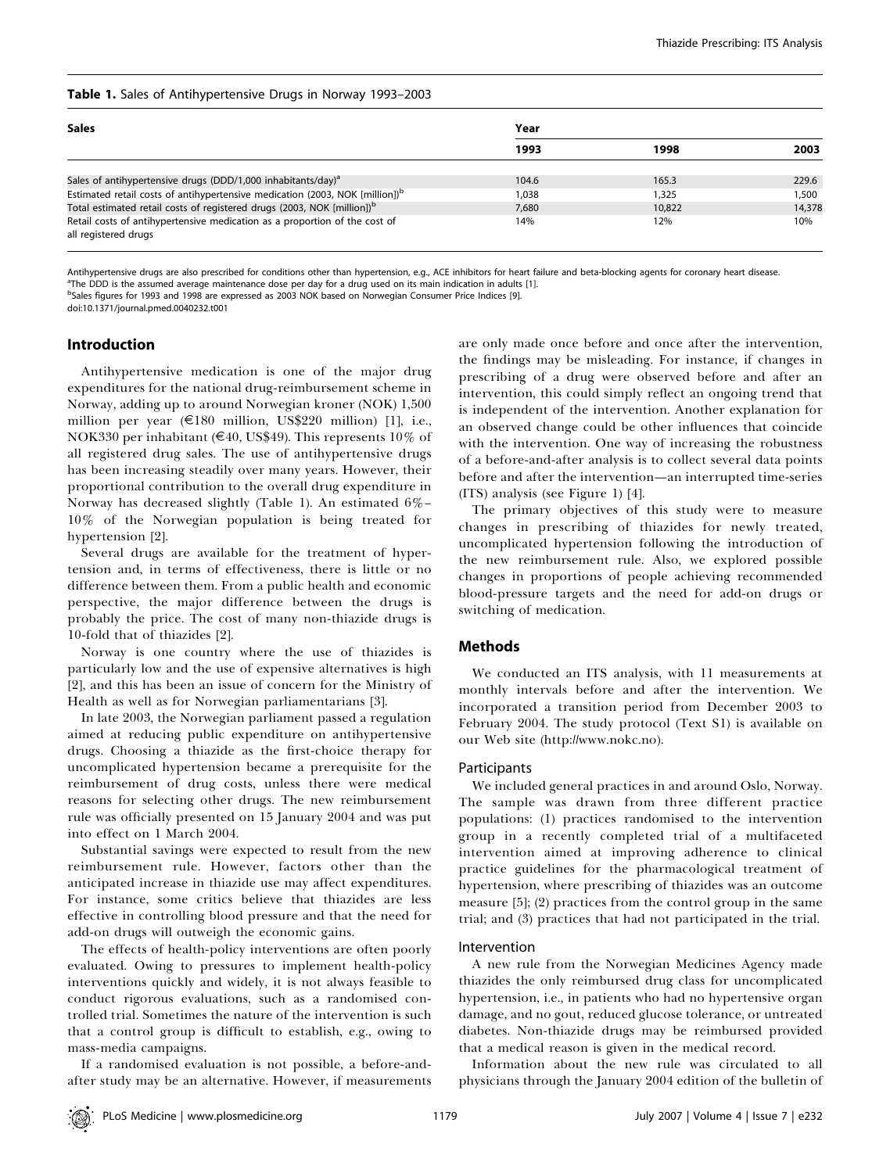## Table 1. Sales of Antihypertensive Drugs in Norway 1993–2003

| <b>Sales</b>                                                                                       | Year  |        |        |
|----------------------------------------------------------------------------------------------------|-------|--------|--------|
|                                                                                                    | 1993  | 1998   | 2003   |
| Sales of antihypertensive drugs (DDD/1,000 inhabitants/day) <sup>a</sup>                           | 104.6 | 165.3  | 229.6  |
| Estimated retail costs of antihypertensive medication (2003, NOK [million]) <sup>b</sup>           | 1.038 | 1.325  | 1,500  |
| Total estimated retail costs of registered drugs (2003, NOK [million]) <sup>b</sup>                | 7.680 | 10.822 | 14,378 |
| Retail costs of antihypertensive medication as a proportion of the cost of<br>all registered drugs | 14%   | 12%    | 10%    |

Antihypertensive drugs are also prescribed for conditions other than hypertension, e.g., ACE inhibitors for heart failure and beta-blocking agents for coronary heart disease.

<sup>a</sup>The DDD is the assumed average maintenance dose per day for a drug used on its main indication in adults [1]. b<br>Sales figures for 1993 and 1998 are expressed as 2003 NOK based on Norwegian Consumer Price Indices [9].

doi:10.1371/journal.pmed.0040232.t001

## Introduction

Antihypertensive medication is one of the major drug expenditures for the national drug-reimbursement scheme in Norway, adding up to around Norwegian kroner (NOK) 1,500 million per year (E180 million, US\$220 million) [1], i.e., NOK330 per inhabitant ( $\epsilon$ 40, US\$49). This represents 10% of all registered drug sales. The use of antihypertensive drugs has been increasing steadily over many years. However, their proportional contribution to the overall drug expenditure in Norway has decreased slightly (Table 1). An estimated 6%– 10% of the Norwegian population is being treated for hypertension [2].

Several drugs are available for the treatment of hypertension and, in terms of effectiveness, there is little or no difference between them. From a public health and economic perspective, the major difference between the drugs is probably the price. The cost of many non-thiazide drugs is 10-fold that of thiazides [2].

Norway is one country where the use of thiazides is particularly low and the use of expensive alternatives is high [2], and this has been an issue of concern for the Ministry of Health as well as for Norwegian parliamentarians [3].

In late 2003, the Norwegian parliament passed a regulation aimed at reducing public expenditure on antihypertensive drugs. Choosing a thiazide as the first-choice therapy for uncomplicated hypertension became a prerequisite for the reimbursement of drug costs, unless there were medical reasons for selecting other drugs. The new reimbursement rule was officially presented on 15 January 2004 and was put into effect on 1 March 2004.

Substantial savings were expected to result from the new reimbursement rule. However, factors other than the anticipated increase in thiazide use may affect expenditures. For instance, some critics believe that thiazides are less effective in controlling blood pressure and that the need for add-on drugs will outweigh the economic gains.

The effects of health-policy interventions are often poorly evaluated. Owing to pressures to implement health-policy interventions quickly and widely, it is not always feasible to conduct rigorous evaluations, such as a randomised controlled trial. Sometimes the nature of the intervention is such that a control group is difficult to establish, e.g., owing to mass-media campaigns.

If a randomised evaluation is not possible, a before-andafter study may be an alternative. However, if measurements

are only made once before and once after the intervention, the findings may be misleading. For instance, if changes in prescribing of a drug were observed before and after an intervention, this could simply reflect an ongoing trend that is independent of the intervention. Another explanation for an observed change could be other influences that coincide with the intervention. One way of increasing the robustness of a before-and-after analysis is to collect several data points before and after the intervention—an interrupted time-series (ITS) analysis (see Figure 1) [4].

The primary objectives of this study were to measure changes in prescribing of thiazides for newly treated, uncomplicated hypertension following the introduction of the new reimbursement rule. Also, we explored possible changes in proportions of people achieving recommended blood-pressure targets and the need for add-on drugs or switching of medication.

# Methods

We conducted an ITS analysis, with 11 measurements at monthly intervals before and after the intervention. We incorporated a transition period from December 2003 to February 2004. The study protocol (Text S1) is available on our Web site (http://www.nokc.no).

## **Participants**

We included general practices in and around Oslo, Norway. The sample was drawn from three different practice populations: (1) practices randomised to the intervention group in a recently completed trial of a multifaceted intervention aimed at improving adherence to clinical practice guidelines for the pharmacological treatment of hypertension, where prescribing of thiazides was an outcome measure [5]; (2) practices from the control group in the same trial; and (3) practices that had not participated in the trial.

## Intervention

A new rule from the Norwegian Medicines Agency made thiazides the only reimbursed drug class for uncomplicated hypertension, i.e., in patients who had no hypertensive organ damage, and no gout, reduced glucose tolerance, or untreated diabetes. Non-thiazide drugs may be reimbursed provided that a medical reason is given in the medical record.

Information about the new rule was circulated to all physicians through the January 2004 edition of the bulletin of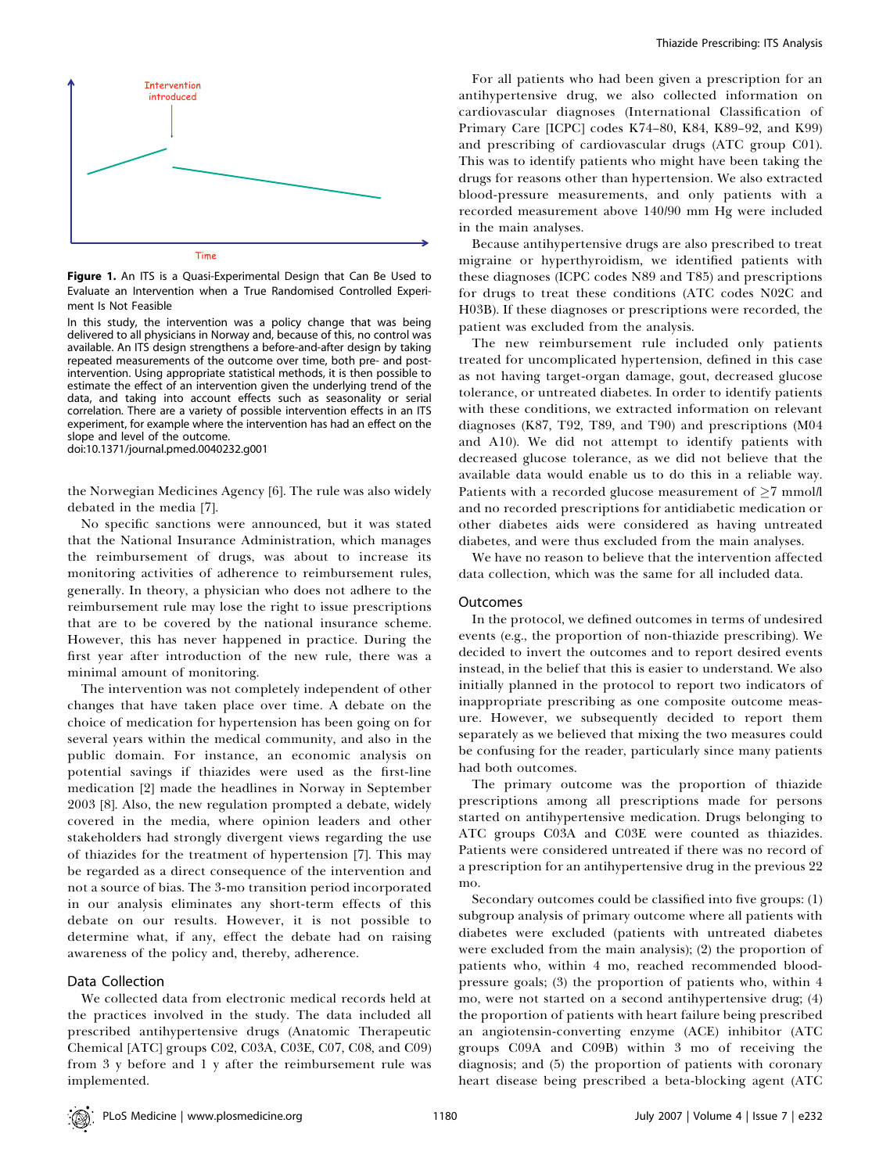

Figure 1. An ITS is a Quasi-Experimental Design that Can Be Used to Evaluate an Intervention when a True Randomised Controlled Experiment Is Not Feasible

In this study, the intervention was a policy change that was being delivered to all physicians in Norway and, because of this, no control was available. An ITS design strengthens a before-and-after design by taking repeated measurements of the outcome over time, both pre- and postintervention. Using appropriate statistical methods, it is then possible to estimate the effect of an intervention given the underlying trend of the data, and taking into account effects such as seasonality or serial correlation. There are a variety of possible intervention effects in an ITS experiment, for example where the intervention has had an effect on the slope and level of the outcome.

doi:10.1371/journal.pmed.0040232.g001

the Norwegian Medicines Agency [6]. The rule was also widely debated in the media [7].

No specific sanctions were announced, but it was stated that the National Insurance Administration, which manages the reimbursement of drugs, was about to increase its monitoring activities of adherence to reimbursement rules, generally. In theory, a physician who does not adhere to the reimbursement rule may lose the right to issue prescriptions that are to be covered by the national insurance scheme. However, this has never happened in practice. During the first year after introduction of the new rule, there was a minimal amount of monitoring.

The intervention was not completely independent of other changes that have taken place over time. A debate on the choice of medication for hypertension has been going on for several years within the medical community, and also in the public domain. For instance, an economic analysis on potential savings if thiazides were used as the first-line medication [2] made the headlines in Norway in September 2003 [8]. Also, the new regulation prompted a debate, widely covered in the media, where opinion leaders and other stakeholders had strongly divergent views regarding the use of thiazides for the treatment of hypertension [7]. This may be regarded as a direct consequence of the intervention and not a source of bias. The 3-mo transition period incorporated in our analysis eliminates any short-term effects of this debate on our results. However, it is not possible to determine what, if any, effect the debate had on raising awareness of the policy and, thereby, adherence.

#### Data Collection

We collected data from electronic medical records held at the practices involved in the study. The data included all prescribed antihypertensive drugs (Anatomic Therapeutic Chemical [ATC] groups C02, C03A, C03E, C07, C08, and C09) from 3 y before and 1 y after the reimbursement rule was implemented.

For all patients who had been given a prescription for an antihypertensive drug, we also collected information on cardiovascular diagnoses (International Classification of Primary Care [ICPC] codes K74–80, K84, K89–92, and K99) and prescribing of cardiovascular drugs (ATC group C01). This was to identify patients who might have been taking the drugs for reasons other than hypertension. We also extracted blood-pressure measurements, and only patients with a recorded measurement above 140/90 mm Hg were included in the main analyses.

Because antihypertensive drugs are also prescribed to treat migraine or hyperthyroidism, we identified patients with these diagnoses (ICPC codes N89 and T85) and prescriptions for drugs to treat these conditions (ATC codes N02C and H03B). If these diagnoses or prescriptions were recorded, the patient was excluded from the analysis.

The new reimbursement rule included only patients treated for uncomplicated hypertension, defined in this case as not having target-organ damage, gout, decreased glucose tolerance, or untreated diabetes. In order to identify patients with these conditions, we extracted information on relevant diagnoses (K87, T92, T89, and T90) and prescriptions (M04 and A10). We did not attempt to identify patients with decreased glucose tolerance, as we did not believe that the available data would enable us to do this in a reliable way. Patients with a recorded glucose measurement of  $\geq 7$  mmol/l and no recorded prescriptions for antidiabetic medication or other diabetes aids were considered as having untreated diabetes, and were thus excluded from the main analyses.

We have no reason to believe that the intervention affected data collection, which was the same for all included data.

## Outcomes

In the protocol, we defined outcomes in terms of undesired events (e.g., the proportion of non-thiazide prescribing). We decided to invert the outcomes and to report desired events instead, in the belief that this is easier to understand. We also initially planned in the protocol to report two indicators of inappropriate prescribing as one composite outcome measure. However, we subsequently decided to report them separately as we believed that mixing the two measures could be confusing for the reader, particularly since many patients had both outcomes.

The primary outcome was the proportion of thiazide prescriptions among all prescriptions made for persons started on antihypertensive medication. Drugs belonging to ATC groups C03A and C03E were counted as thiazides. Patients were considered untreated if there was no record of a prescription for an antihypertensive drug in the previous 22 mo.

Secondary outcomes could be classified into five groups: (1) subgroup analysis of primary outcome where all patients with diabetes were excluded (patients with untreated diabetes were excluded from the main analysis); (2) the proportion of patients who, within 4 mo, reached recommended bloodpressure goals; (3) the proportion of patients who, within 4 mo, were not started on a second antihypertensive drug; (4) the proportion of patients with heart failure being prescribed an angiotensin-converting enzyme (ACE) inhibitor (ATC groups C09A and C09B) within 3 mo of receiving the diagnosis; and (5) the proportion of patients with coronary heart disease being prescribed a beta-blocking agent (ATC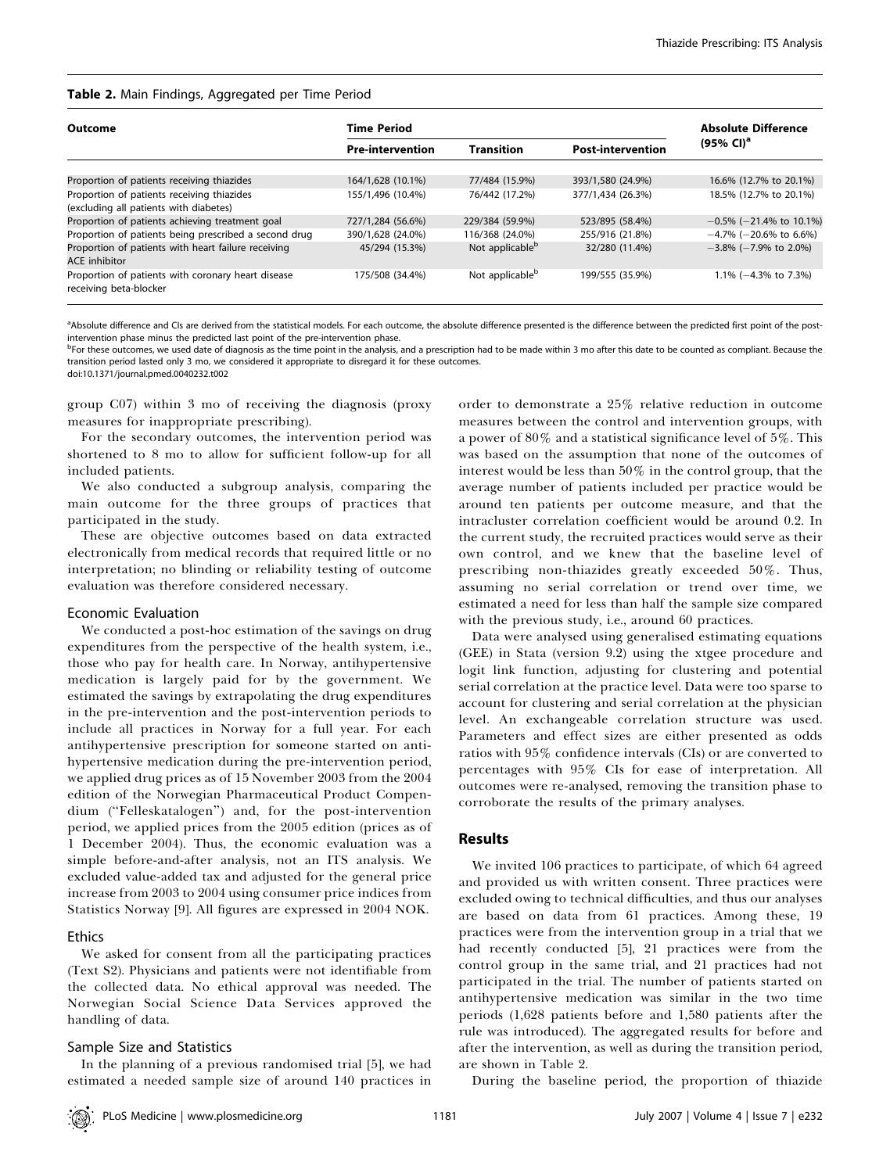## Table 2. Main Findings, Aggregated per Time Period

| <b>Outcome</b>                                                                       | <b>Time Period</b>      |                             |                          | <b>Absolute Difference</b>   |  |
|--------------------------------------------------------------------------------------|-------------------------|-----------------------------|--------------------------|------------------------------|--|
|                                                                                      | <b>Pre-intervention</b> | <b>Transition</b>           | <b>Post-intervention</b> | $(95\% \; \text{Cl})^a$      |  |
| Proportion of patients receiving thiazides                                           | 164/1,628 (10.1%)       | 77/484 (15.9%)              | 393/1,580 (24.9%)        | 16.6% (12.7% to 20.1%)       |  |
| Proportion of patients receiving thiazides<br>(excluding all patients with diabetes) | 155/1.496 (10.4%)       | 76/442 (17.2%)              | 377/1.434 (26.3%)        | 18.5% (12.7% to 20.1%)       |  |
| Proportion of patients achieving treatment goal                                      | 727/1,284 (56.6%)       | 229/384 (59.9%)             | 523/895 (58.4%)          | $-0.5\%$ (-21.4% to 10.1%)   |  |
| Proportion of patients being prescribed a second drug                                | 390/1,628 (24.0%)       | 116/368 (24.0%)             | 255/916 (21.8%)          | $-4.7\%$ (-20.6% to 6.6%)    |  |
| Proportion of patients with heart failure receiving<br><b>ACE</b> inhibitor          | 45/294 (15.3%)          | Not applicable <sup>b</sup> | 32/280 (11.4%)           | $-3.8\%$ ( $-7.9\%$ to 2.0%) |  |
| Proportion of patients with coronary heart disease<br>receiving beta-blocker         | 175/508 (34.4%)         | Not applicable <sup>b</sup> | 199/555 (35.9%)          | $1.1\%$ (-4.3% to 7.3%)      |  |

<sup>a</sup>Absolute difference and CIs are derived from the statistical models. For each outcome, the absolute difference presented is the difference between the predicted first point of the postintervention phase minus the predicted last point of the pre-intervention phase.

b<br><sup>b</sup>For these outcomes, we used date of diagnosis as the time point in the analysis, and a prescription had to be made within 3 mo after this date to be counted as compliant. Because the transition period lasted only 3 mo, we considered it appropriate to disregard it for these outcomes. doi:10.1371/journal.pmed.0040232.t002

group C07) within 3 mo of receiving the diagnosis (proxy measures for inappropriate prescribing).

For the secondary outcomes, the intervention period was shortened to 8 mo to allow for sufficient follow-up for all included patients.

We also conducted a subgroup analysis, comparing the main outcome for the three groups of practices that participated in the study.

These are objective outcomes based on data extracted electronically from medical records that required little or no interpretation; no blinding or reliability testing of outcome evaluation was therefore considered necessary.

#### Economic Evaluation

We conducted a post-hoc estimation of the savings on drug expenditures from the perspective of the health system, i.e., those who pay for health care. In Norway, antihypertensive medication is largely paid for by the government. We estimated the savings by extrapolating the drug expenditures in the pre-intervention and the post-intervention periods to include all practices in Norway for a full year. For each antihypertensive prescription for someone started on antihypertensive medication during the pre-intervention period, we applied drug prices as of 15 November 2003 from the 2004 edition of the Norwegian Pharmaceutical Product Compendium (''Felleskatalogen'') and, for the post-intervention period, we applied prices from the 2005 edition (prices as of 1 December 2004). Thus, the economic evaluation was a simple before-and-after analysis, not an ITS analysis. We excluded value-added tax and adjusted for the general price increase from 2003 to 2004 using consumer price indices from Statistics Norway [9]. All figures are expressed in 2004 NOK.

#### **Ethics**

We asked for consent from all the participating practices (Text S2). Physicians and patients were not identifiable from the collected data. No ethical approval was needed. The Norwegian Social Science Data Services approved the handling of data.

#### Sample Size and Statistics

In the planning of a previous randomised trial [5], we had estimated a needed sample size of around 140 practices in

order to demonstrate a 25% relative reduction in outcome measures between the control and intervention groups, with a power of 80% and a statistical significance level of 5%. This was based on the assumption that none of the outcomes of interest would be less than 50% in the control group, that the average number of patients included per practice would be around ten patients per outcome measure, and that the intracluster correlation coefficient would be around 0.2. In the current study, the recruited practices would serve as their own control, and we knew that the baseline level of prescribing non-thiazides greatly exceeded 50%. Thus, assuming no serial correlation or trend over time, we estimated a need for less than half the sample size compared with the previous study, i.e., around 60 practices.

Data were analysed using generalised estimating equations (GEE) in Stata (version 9.2) using the xtgee procedure and logit link function, adjusting for clustering and potential serial correlation at the practice level. Data were too sparse to account for clustering and serial correlation at the physician level. An exchangeable correlation structure was used. Parameters and effect sizes are either presented as odds ratios with 95% confidence intervals (CIs) or are converted to percentages with 95% CIs for ease of interpretation. All outcomes were re-analysed, removing the transition phase to corroborate the results of the primary analyses.

## Results

We invited 106 practices to participate, of which 64 agreed and provided us with written consent. Three practices were excluded owing to technical difficulties, and thus our analyses are based on data from 61 practices. Among these, 19 practices were from the intervention group in a trial that we had recently conducted [5], 21 practices were from the control group in the same trial, and 21 practices had not participated in the trial. The number of patients started on antihypertensive medication was similar in the two time periods (1,628 patients before and 1,580 patients after the rule was introduced). The aggregated results for before and after the intervention, as well as during the transition period, are shown in Table 2.

During the baseline period, the proportion of thiazide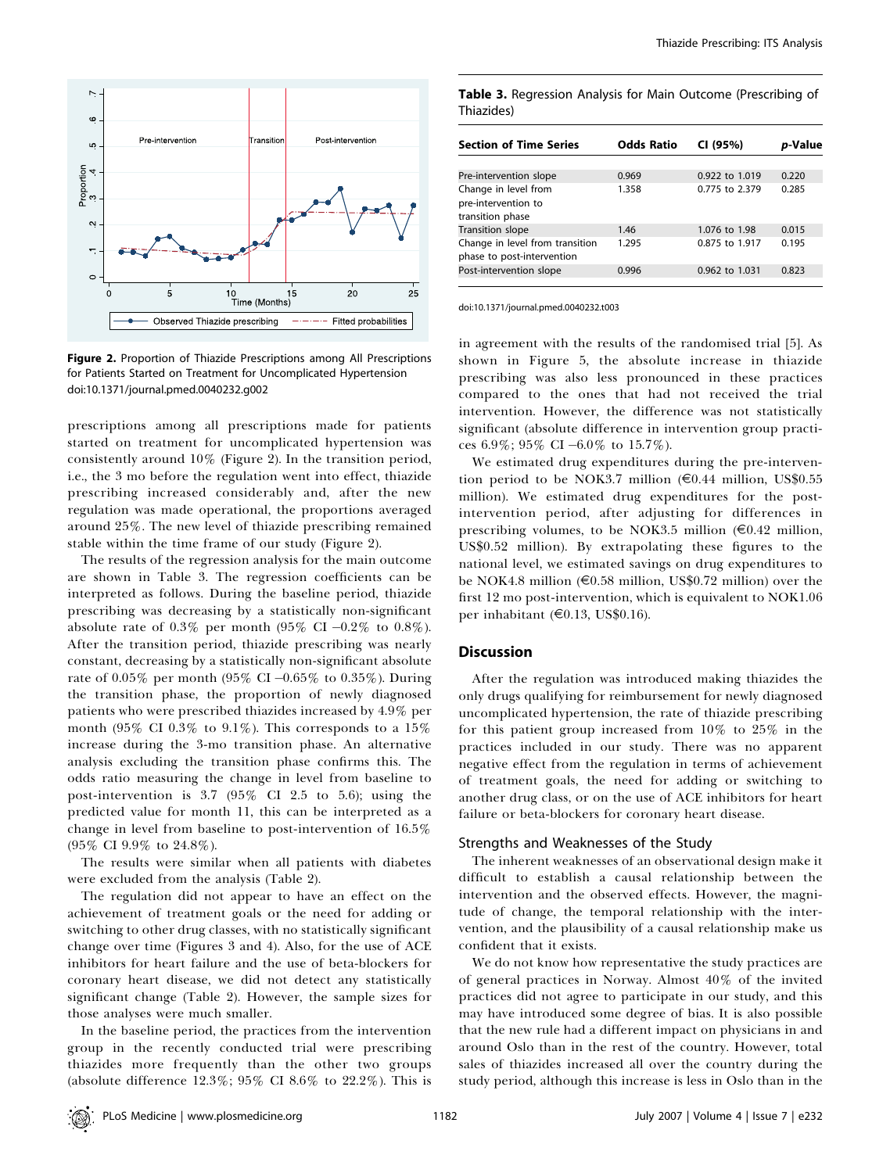

Figure 2. Proportion of Thiazide Prescriptions among All Prescriptions for Patients Started on Treatment for Uncomplicated Hypertension doi:10.1371/journal.pmed.0040232.g002

prescriptions among all prescriptions made for patients started on treatment for uncomplicated hypertension was consistently around 10% (Figure 2). In the transition period, i.e., the 3 mo before the regulation went into effect, thiazide prescribing increased considerably and, after the new regulation was made operational, the proportions averaged around 25%. The new level of thiazide prescribing remained stable within the time frame of our study (Figure 2).

The results of the regression analysis for the main outcome are shown in Table 3. The regression coefficients can be interpreted as follows. During the baseline period, thiazide prescribing was decreasing by a statistically non-significant absolute rate of 0.3% per month (95% CI  $-0.2\%$  to 0.8%). After the transition period, thiazide prescribing was nearly constant, decreasing by a statistically non-significant absolute rate of  $0.05\%$  per month (95% CI -0.65% to 0.35%). During the transition phase, the proportion of newly diagnosed patients who were prescribed thiazides increased by 4.9% per month (95% CI 0.3% to 9.1%). This corresponds to a 15% increase during the 3-mo transition phase. An alternative analysis excluding the transition phase confirms this. The odds ratio measuring the change in level from baseline to post-intervention is 3.7 (95% CI 2.5 to 5.6); using the predicted value for month 11, this can be interpreted as a change in level from baseline to post-intervention of 16.5% (95% CI 9.9% to 24.8%).

The results were similar when all patients with diabetes were excluded from the analysis (Table 2).

The regulation did not appear to have an effect on the achievement of treatment goals or the need for adding or switching to other drug classes, with no statistically significant change over time (Figures 3 and 4). Also, for the use of ACE inhibitors for heart failure and the use of beta-blockers for coronary heart disease, we did not detect any statistically significant change (Table 2). However, the sample sizes for those analyses were much smaller.

In the baseline period, the practices from the intervention group in the recently conducted trial were prescribing thiazides more frequently than the other two groups (absolute difference 12.3%; 95% CI 8.6% to 22.2%). This is

Table 3. Regression Analysis for Main Outcome (Prescribing of Thiazides)

| <b>Section of Time Series</b>                                   | <b>Odds Ratio</b> | CI (95%)       | <i>p</i> -Value |
|-----------------------------------------------------------------|-------------------|----------------|-----------------|
|                                                                 |                   |                |                 |
| Pre-intervention slope                                          | 0.969             | 0.922 to 1.019 | 0.220           |
| Change in level from<br>pre-intervention to<br>transition phase | 1.358             | 0.775 to 2.379 | 0.285           |
| <b>Transition slope</b>                                         | 1.46              | 1.076 to 1.98  | 0.015           |
| Change in level from transition<br>phase to post-intervention   | 1.295             | 0.875 to 1.917 | 0.195           |
| Post-intervention slope                                         | 0.996             | 0.962 to 1.031 | 0.823           |

doi:10.1371/journal.pmed.0040232.t003

in agreement with the results of the randomised trial [5]. As shown in Figure 5, the absolute increase in thiazide prescribing was also less pronounced in these practices compared to the ones that had not received the trial intervention. However, the difference was not statistically significant (absolute difference in intervention group practices 6.9%; 95% CI  $-6.0\%$  to 15.7%).

We estimated drug expenditures during the pre-intervention period to be NOK3.7 million ( $\epsilon$ 0.44 million, US\$0.55 million). We estimated drug expenditures for the postintervention period, after adjusting for differences in prescribing volumes, to be NOK3.5 million  $(\epsilon 0.42 \text{ million},$ US\$0.52 million). By extrapolating these figures to the national level, we estimated savings on drug expenditures to be NOK4.8 million ( $\epsilon$ 0.58 million, US\$0.72 million) over the first 12 mo post-intervention, which is equivalent to NOK1.06 per inhabitant (E0.13, US\$0.16).

#### **Discussion**

After the regulation was introduced making thiazides the only drugs qualifying for reimbursement for newly diagnosed uncomplicated hypertension, the rate of thiazide prescribing for this patient group increased from 10% to 25% in the practices included in our study. There was no apparent negative effect from the regulation in terms of achievement of treatment goals, the need for adding or switching to another drug class, or on the use of ACE inhibitors for heart failure or beta-blockers for coronary heart disease.

#### Strengths and Weaknesses of the Study

The inherent weaknesses of an observational design make it difficult to establish a causal relationship between the intervention and the observed effects. However, the magnitude of change, the temporal relationship with the intervention, and the plausibility of a causal relationship make us confident that it exists.

We do not know how representative the study practices are of general practices in Norway. Almost 40% of the invited practices did not agree to participate in our study, and this may have introduced some degree of bias. It is also possible that the new rule had a different impact on physicians in and around Oslo than in the rest of the country. However, total sales of thiazides increased all over the country during the study period, although this increase is less in Oslo than in the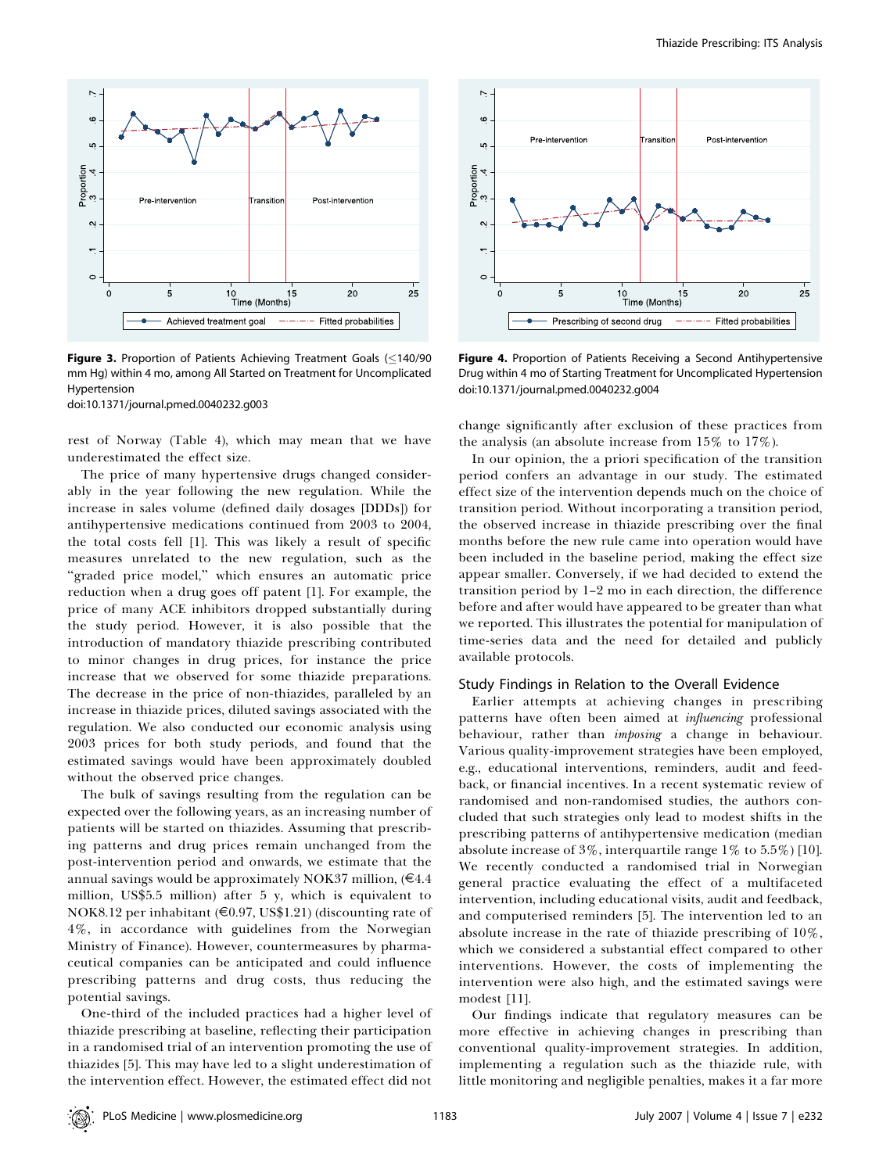

Figure 3. Proportion of Patients Achieving Treatment Goals  $( \leq 140/90$ mm Hg) within 4 mo, among All Started on Treatment for Uncomplicated Hypertension

doi:10.1371/journal.pmed.0040232.g003

rest of Norway (Table 4), which may mean that we have underestimated the effect size.

The price of many hypertensive drugs changed considerably in the year following the new regulation. While the increase in sales volume (defined daily dosages [DDDs]) for antihypertensive medications continued from 2003 to 2004, the total costs fell [1]. This was likely a result of specific measures unrelated to the new regulation, such as the "graded price model," which ensures an automatic price reduction when a drug goes off patent [1]. For example, the price of many ACE inhibitors dropped substantially during the study period. However, it is also possible that the introduction of mandatory thiazide prescribing contributed to minor changes in drug prices, for instance the price increase that we observed for some thiazide preparations. The decrease in the price of non-thiazides, paralleled by an increase in thiazide prices, diluted savings associated with the regulation. We also conducted our economic analysis using 2003 prices for both study periods, and found that the estimated savings would have been approximately doubled without the observed price changes.

The bulk of savings resulting from the regulation can be expected over the following years, as an increasing number of patients will be started on thiazides. Assuming that prescribing patterns and drug prices remain unchanged from the post-intervention period and onwards, we estimate that the annual savings would be approximately NOK37 million,  $(€4.4)$ million, US\$5.5 million) after 5 y, which is equivalent to NOK8.12 per inhabitant (E0.97, US\$1.21) (discounting rate of 4%, in accordance with guidelines from the Norwegian Ministry of Finance). However, countermeasures by pharmaceutical companies can be anticipated and could influence prescribing patterns and drug costs, thus reducing the potential savings.

One-third of the included practices had a higher level of thiazide prescribing at baseline, reflecting their participation in a randomised trial of an intervention promoting the use of thiazides [5]. This may have led to a slight underestimation of the intervention effect. However, the estimated effect did not



Figure 4. Proportion of Patients Receiving a Second Antihypertensive Drug within 4 mo of Starting Treatment for Uncomplicated Hypertension doi:10.1371/journal.pmed.0040232.g004

change significantly after exclusion of these practices from the analysis (an absolute increase from 15% to 17%).

In our opinion, the a priori specification of the transition period confers an advantage in our study. The estimated effect size of the intervention depends much on the choice of transition period. Without incorporating a transition period, the observed increase in thiazide prescribing over the final months before the new rule came into operation would have been included in the baseline period, making the effect size appear smaller. Conversely, if we had decided to extend the transition period by 1–2 mo in each direction, the difference before and after would have appeared to be greater than what we reported. This illustrates the potential for manipulation of time-series data and the need for detailed and publicly available protocols.

#### Study Findings in Relation to the Overall Evidence

Earlier attempts at achieving changes in prescribing patterns have often been aimed at *influencing* professional behaviour, rather than *imposing* a change in behaviour. Various quality-improvement strategies have been employed, e.g., educational interventions, reminders, audit and feedback, or financial incentives. In a recent systematic review of randomised and non-randomised studies, the authors concluded that such strategies only lead to modest shifts in the prescribing patterns of antihypertensive medication (median absolute increase of  $3\%$ , interquartile range  $1\%$  to  $5.5\%$  [10]. We recently conducted a randomised trial in Norwegian general practice evaluating the effect of a multifaceted intervention, including educational visits, audit and feedback, and computerised reminders [5]. The intervention led to an absolute increase in the rate of thiazide prescribing of 10%, which we considered a substantial effect compared to other interventions. However, the costs of implementing the intervention were also high, and the estimated savings were modest [11].

Our findings indicate that regulatory measures can be more effective in achieving changes in prescribing than conventional quality-improvement strategies. In addition, implementing a regulation such as the thiazide rule, with little monitoring and negligible penalties, makes it a far more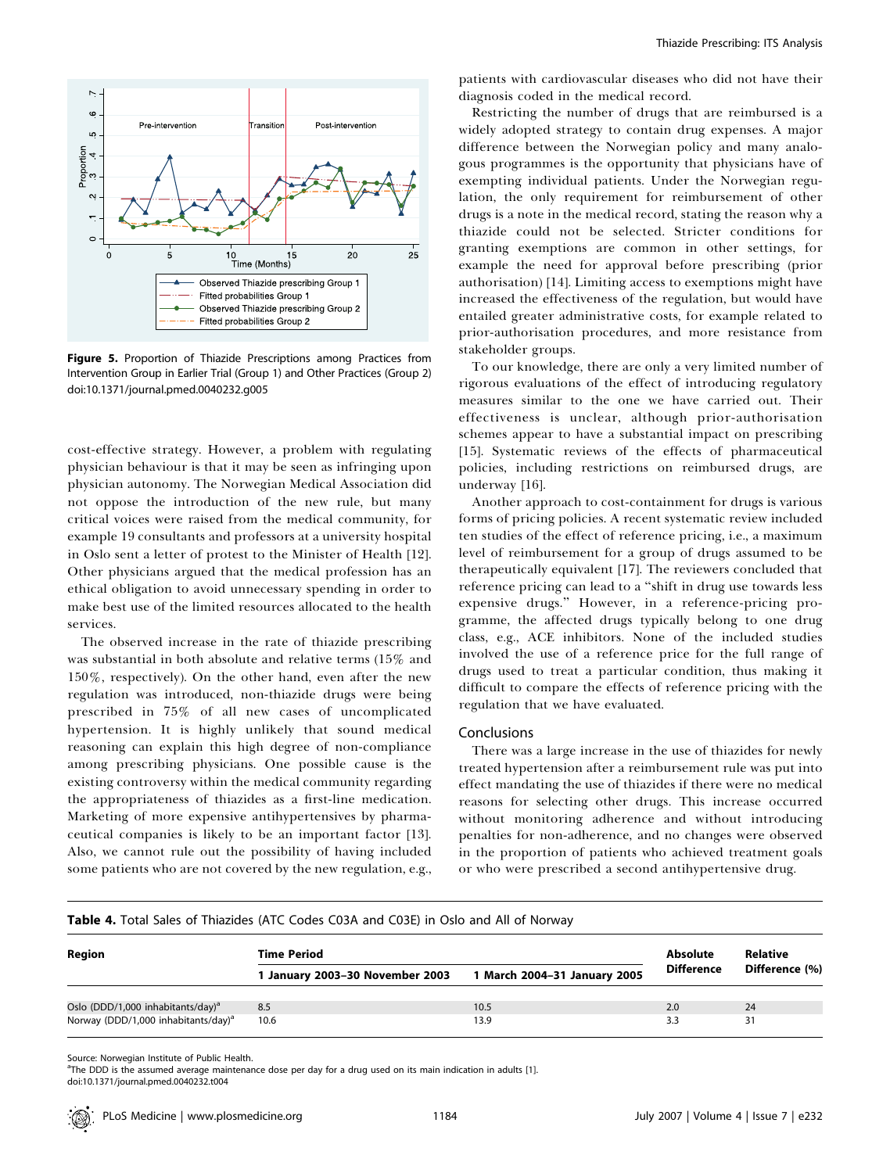

Figure 5. Proportion of Thiazide Prescriptions among Practices from Intervention Group in Earlier Trial (Group 1) and Other Practices (Group 2) doi:10.1371/journal.pmed.0040232.g005

cost-effective strategy. However, a problem with regulating physician behaviour is that it may be seen as infringing upon physician autonomy. The Norwegian Medical Association did not oppose the introduction of the new rule, but many critical voices were raised from the medical community, for example 19 consultants and professors at a university hospital in Oslo sent a letter of protest to the Minister of Health [12]. Other physicians argued that the medical profession has an ethical obligation to avoid unnecessary spending in order to make best use of the limited resources allocated to the health services.

The observed increase in the rate of thiazide prescribing was substantial in both absolute and relative terms (15% and 150%, respectively). On the other hand, even after the new regulation was introduced, non-thiazide drugs were being prescribed in 75% of all new cases of uncomplicated hypertension. It is highly unlikely that sound medical reasoning can explain this high degree of non-compliance among prescribing physicians. One possible cause is the existing controversy within the medical community regarding the appropriateness of thiazides as a first-line medication. Marketing of more expensive antihypertensives by pharmaceutical companies is likely to be an important factor [13]. Also, we cannot rule out the possibility of having included some patients who are not covered by the new regulation, e.g.,

patients with cardiovascular diseases who did not have their diagnosis coded in the medical record.

Restricting the number of drugs that are reimbursed is a widely adopted strategy to contain drug expenses. A major difference between the Norwegian policy and many analogous programmes is the opportunity that physicians have of exempting individual patients. Under the Norwegian regulation, the only requirement for reimbursement of other drugs is a note in the medical record, stating the reason why a thiazide could not be selected. Stricter conditions for granting exemptions are common in other settings, for example the need for approval before prescribing (prior authorisation) [14]. Limiting access to exemptions might have increased the effectiveness of the regulation, but would have entailed greater administrative costs, for example related to prior-authorisation procedures, and more resistance from stakeholder groups.

To our knowledge, there are only a very limited number of rigorous evaluations of the effect of introducing regulatory measures similar to the one we have carried out. Their effectiveness is unclear, although prior-authorisation schemes appear to have a substantial impact on prescribing [15]. Systematic reviews of the effects of pharmaceutical policies, including restrictions on reimbursed drugs, are underway [16].

Another approach to cost-containment for drugs is various forms of pricing policies. A recent systematic review included ten studies of the effect of reference pricing, i.e., a maximum level of reimbursement for a group of drugs assumed to be therapeutically equivalent [17]. The reviewers concluded that reference pricing can lead to a ''shift in drug use towards less expensive drugs.'' However, in a reference-pricing programme, the affected drugs typically belong to one drug class, e.g., ACE inhibitors. None of the included studies involved the use of a reference price for the full range of drugs used to treat a particular condition, thus making it difficult to compare the effects of reference pricing with the regulation that we have evaluated.

#### **Conclusions**

There was a large increase in the use of thiazides for newly treated hypertension after a reimbursement rule was put into effect mandating the use of thiazides if there were no medical reasons for selecting other drugs. This increase occurred without monitoring adherence and without introducing penalties for non-adherence, and no changes were observed in the proportion of patients who achieved treatment goals or who were prescribed a second antihypertensive drug.

| Table 4. Total Sales of Thiazides (ATC Codes C03A and C03E) in Oslo and All of Norway |  |  |  |
|---------------------------------------------------------------------------------------|--|--|--|
|---------------------------------------------------------------------------------------|--|--|--|

| Region                                          | <b>Time Period</b>              | <b>Absolute</b>              | Relative          |                |
|-------------------------------------------------|---------------------------------|------------------------------|-------------------|----------------|
|                                                 | 1 January 2003-30 November 2003 | 1 March 2004–31 January 2005 | <b>Difference</b> | Difference (%) |
| Oslo (DDD/1,000 inhabitants/day) <sup>a</sup>   | 8.5                             | 10.5                         | 2.0               | 24             |
| Norway (DDD/1,000 inhabitants/day) <sup>a</sup> | 10.6                            | 13.9                         | 3.3               | 31             |

Source: Norwegian Institute of Public Health.

a The DDD is the assumed average maintenance dose per day for a drug used on its main indication in adults [1]. doi:10.1371/journal.pmed.0040232.t004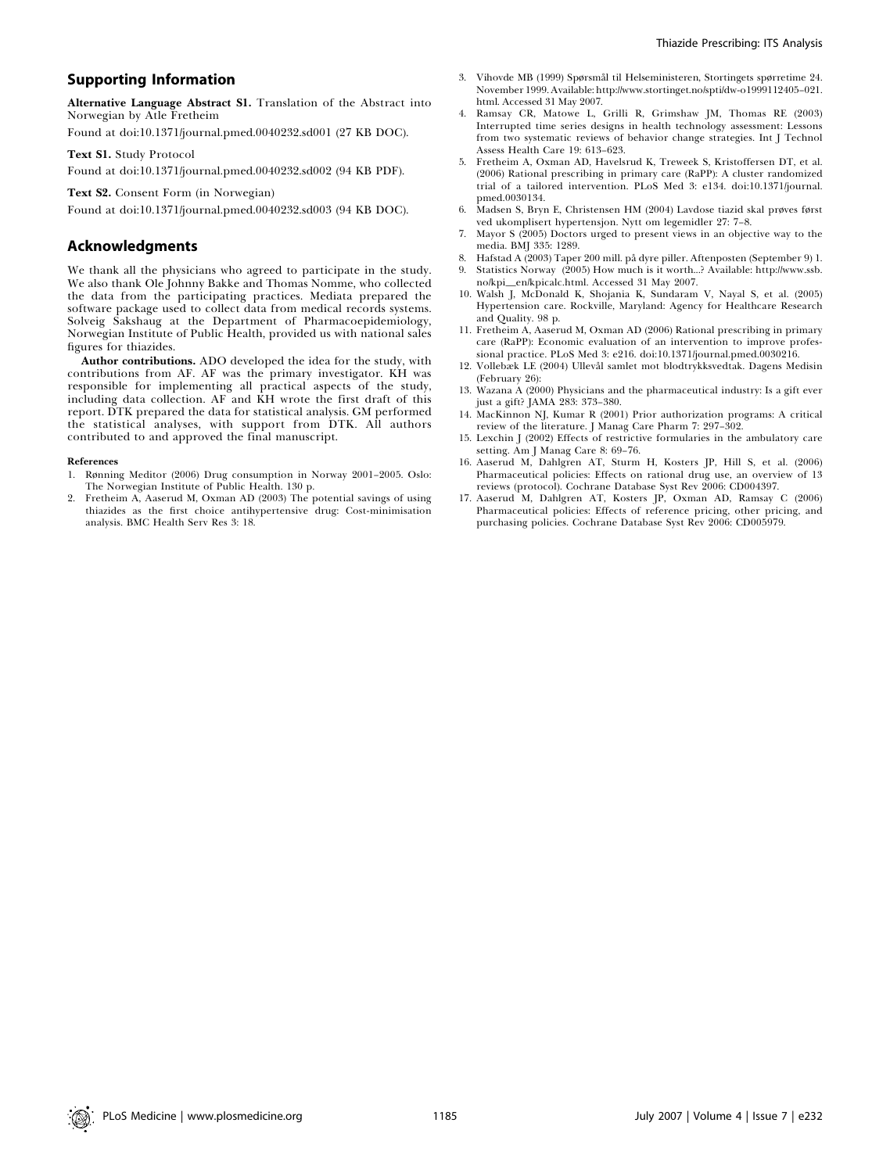# Supporting Information

Alternative Language Abstract S1. Translation of the Abstract into Norwegian by Atle Fretheim

Found at doi:10.1371/journal.pmed.0040232.sd001 (27 KB DOC).

Text S1. Study Protocol

Found at doi:10.1371/journal.pmed.0040232.sd002 (94 KB PDF).

Text S2. Consent Form (in Norwegian)

Found at doi:10.1371/journal.pmed.0040232.sd003 (94 KB DOC).

# Acknowledgments

We thank all the physicians who agreed to participate in the study. We also thank Ole Johnny Bakke and Thomas Nomme, who collected the data from the participating practices. Mediata prepared the software package used to collect data from medical records systems. Solveig Sakshaug at the Department of Pharmacoepidemiology, Norwegian Institute of Public Health, provided us with national sales figures for thiazides.

Author contributions. ADO developed the idea for the study, with contributions from AF. AF was the primary investigator. KH was responsible for implementing all practical aspects of the study, including data collection. AF and KH wrote the first draft of this report. DTK prepared the data for statistical analysis. GM performed the statistical analyses, with support from DTK. All authors contributed to and approved the final manuscript.

#### References

- 1. Rønning Meditor (2006) Drug consumption in Norway 2001–2005. Oslo: The Norwegian Institute of Public Health. 130 p.
- 2. Fretheim A, Aaserud M, Oxman AD (2003) The potential savings of using thiazides as the first choice antihypertensive drug: Cost-minimisation analysis. BMC Health Serv Res 3: 18.
- Vihovde MB (1999) Spørsmål til Helseministeren, Stortingets spørretime 24. November 1999. Available: http://www.stortinget.no/spti/dw-o1999112405–021. html. Accessed 31 May 2007.
- 4. Ramsay CR, Matowe L, Grilli R, Grimshaw JM, Thomas RE (2003) Interrupted time series designs in health technology assessment: Lessons from two systematic reviews of behavior change strategies. Int J Technol Assess Health Care 19: 613–623.
- 5. Fretheim A, Oxman AD, Havelsrud K, Treweek S, Kristoffersen DT, et al. (2006) Rational prescribing in primary care (RaPP): A cluster randomized trial of a tailored intervention. PLoS Med 3: e134. doi:10.1371/journal. pmed.0030134.
- 6. Madsen S, Bryn E, Christensen HM (2004) Lavdose tiazid skal prøves først ved ukomplisert hypertensjon. Nytt om legemidler 27: 7–8.
- 7. Mayor S (2005) Doctors urged to present views in an objective way to the media. BMJ 335: 1289.
- 8. Hafstad A (2003) Taper 200 mill. på dyre piller. Aftenposten (September 9) 1.<br>9. Statistics Norway (2005) How much is it worth...? Available: http://www.ssb. Statistics Norway (2005) How much is it worth...? Available: http://www.ssb.
- no/kpi\_en/kpicalc.html. Accessed 31 May 2007. 10. Walsh J, McDonald K, Shojania K, Sundaram V, Nayal S, et al. (2005) Hypertension care. Rockville, Maryland: Agency for Healthcare Research and Quality. 98 p.
- 11. Fretheim A, Aaserud M, Oxman AD (2006) Rational prescribing in primary care (RaPP): Economic evaluation of an intervention to improve sional practice. PLoS Med 3: e216. doi:10.1371/journal.pmed.0030216.
- 12. Vollebæk LE (2004) Ullevål samlet mot blodtrykksvedtak. Dagens Medisin (February 26):
- 13. Wazana A (2000) Physicians and the pharmaceutical industry: Is a gift ever just a gift? JAMA 283: 373–380.
- 14. MacKinnon NJ, Kumar R (2001) Prior authorization programs: A critical review of the literature. J Manag Care Pharm 7: 297–302.
- 15. Lexchin J (2002) Effects of restrictive formularies in the ambulatory care setting. Am J Manag Care 8: 69–76.
- 16. Aaserud M, Dahlgren AT, Sturm H, Kosters JP, Hill S, et al. (2006) Pharmaceutical policies: Effects on rational drug use, an overview of 13 reviews (protocol). Cochrane Database Syst Rev 2006: CD004397.
- 17. Aaserud M, Dahlgren AT, Kosters JP, Oxman AD, Ramsay C (2006) Pharmaceutical policies: Effects of reference pricing, other pricing, and purchasing policies. Cochrane Database Syst Rev 2006: CD005979.